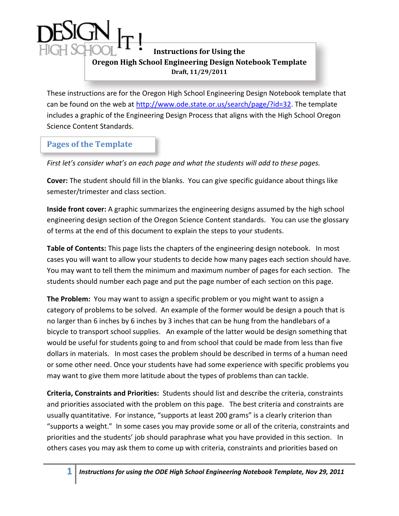## **Instructions for Using the Oregon High School Engineering Design Notebook Template Draft, 11/29/2011**

These instructions are for the Oregon High School Engineering Design Notebook template that can be found on the web at [http://www.ode.state.or.us/search/page/?id=32.](http://www.ode.state.or.us/search/page/?id=32) The template includes a graphic of the Engineering Design Process that aligns with the High School Oregon Science Content Standards.

## **Pages of the Template**

*First let's consider what's on each page and what the students will add to these pages.*

**Cover:** The student should fill in the blanks. You can give specific guidance about things like semester/trimester and class section.

**Inside front cover:** A graphic summarizes the engineering designs assumed by the high school engineering design section of the Oregon Science Content standards. You can use the glossary of terms at the end of this document to explain the steps to your students.

**Table of Contents:** This page lists the chapters of the engineering design notebook. In most cases you will want to allow your students to decide how many pages each section should have. You may want to tell them the minimum and maximum number of pages for each section. The students should number each page and put the page number of each section on this page.

**The Problem:** You may want to assign a specific problem or you might want to assign a category of problems to be solved. An example of the former would be design a pouch that is no larger than 6 inches by 6 inches by 3 inches that can be hung from the handlebars of a bicycle to transport school supplies. An example of the latter would be design something that would be useful for students going to and from school that could be made from less than five dollars in materials. In most cases the problem should be described in terms of a human need or some other need. Once your students have had some experience with specific problems you may want to give them more latitude about the types of problems than can tackle.

**Criteria, Constraints and Priorities:** Students should list and describe the criteria, constraints and priorities associated with the problem on this page. The best criteria and constraints are usually quantitative. For instance, "supports at least 200 grams" is a clearly criterion than "supports a weight." In some cases you may provide some or all of the criteria, constraints and priorities and the students' job should paraphrase what you have provided in this section. In others cases you may ask them to come up with criteria, constraints and priorities based on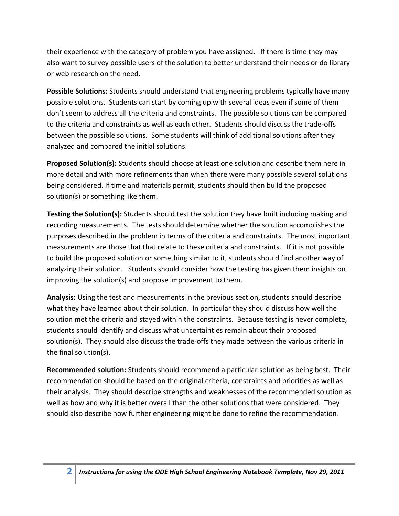their experience with the category of problem you have assigned. If there is time they may also want to survey possible users of the solution to better understand their needs or do library or web research on the need.

**Possible Solutions:** Students should understand that engineering problems typically have many possible solutions. Students can start by coming up with several ideas even if some of them don't seem to address all the criteria and constraints. The possible solutions can be compared to the criteria and constraints as well as each other. Students should discuss the trade-offs between the possible solutions. Some students will think of additional solutions after they analyzed and compared the initial solutions.

**Proposed Solution(s):** Students should choose at least one solution and describe them here in more detail and with more refinements than when there were many possible several solutions being considered. If time and materials permit, students should then build the proposed solution(s) or something like them.

**Testing the Solution(s):** Students should test the solution they have built including making and recording measurements. The tests should determine whether the solution accomplishes the purposes described in the problem in terms of the criteria and constraints. The most important measurements are those that that relate to these criteria and constraints. If it is not possible to build the proposed solution or something similar to it, students should find another way of analyzing their solution. Students should consider how the testing has given them insights on improving the solution(s) and propose improvement to them.

**Analysis:** Using the test and measurements in the previous section, students should describe what they have learned about their solution. In particular they should discuss how well the solution met the criteria and stayed within the constraints. Because testing is never complete, students should identify and discuss what uncertainties remain about their proposed solution(s). They should also discuss the trade-offs they made between the various criteria in the final solution(s).

**Recommended solution:** Students should recommend a particular solution as being best. Their recommendation should be based on the original criteria, constraints and priorities as well as their analysis. They should describe strengths and weaknesses of the recommended solution as well as how and why it is better overall than the other solutions that were considered. They should also describe how further engineering might be done to refine the recommendation.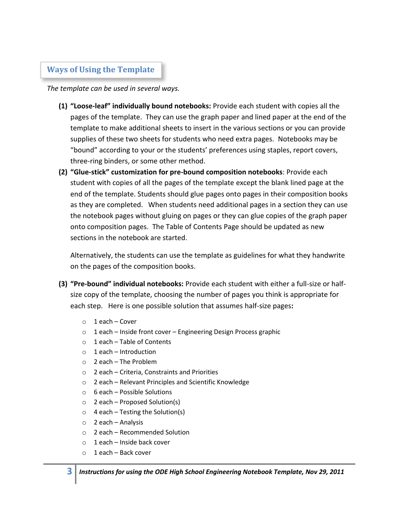## **Ways of Using the Template**

*The template can be used in several ways.* 

- **(1) "Loose-leaf" individually bound notebooks:** Provide each student with copies all the pages of the template. They can use the graph paper and lined paper at the end of the template to make additional sheets to insert in the various sections or you can provide supplies of these two sheets for students who need extra pages. Notebooks may be "bound" according to your or the students' preferences using staples, report covers, three-ring binders, or some other method.
- **(2) "Glue-stick" customization for pre-bound composition notebooks**: Provide each student with copies of all the pages of the template except the blank lined page at the end of the template. Students should glue pages onto pages in their composition books as they are completed. When students need additional pages in a section they can use the notebook pages without gluing on pages or they can glue copies of the graph paper onto composition pages. The Table of Contents Page should be updated as new sections in the notebook are started.

Alternatively, the students can use the template as guidelines for what they handwrite on the pages of the composition books.

- **(3) "Pre-bound" individual notebooks:** Provide each student with either a full-size or halfsize copy of the template, choosing the number of pages you think is appropriate for each step. Here is one possible solution that assumes half-size pages**:**
	- o 1 each Cover
	- o 1 each Inside front cover Engineering Design Process graphic
	- $\circ$  1 each Table of Contents
	- o 1 each Introduction
	- o 2 each The Problem
	- o 2 each Criteria, Constraints and Priorities
	- o 2 each Relevant Principles and Scientific Knowledge
	- o 6 each Possible Solutions
	- o 2 each Proposed Solution(s)
	- $\circ$  4 each Testing the Solution(s)
	- o 2 each Analysis
	- o 2 each Recommended Solution
	- $\circ$  1 each Inside back cover
	- o 1 each Back cover